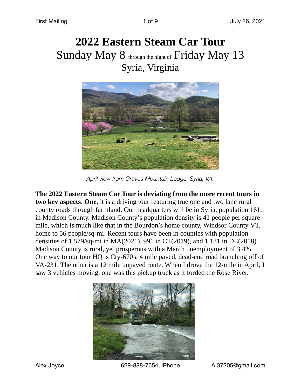# **2022 Eastern Steam Car Tour**  Sunday May 8 through the night of Friday May 13 Syria, Virginia



*April view from Graves Mountain Lodge, Syria, VA.*

**The 2022 Eastern Steam Car Tour is deviating from the more recent tours in two key aspects**. **One**, it is a driving tour featuring true one and two lane rural county roads through farmland. Our headquarters will be in Syria, population 161, in Madison County. Madison County's population density is 41 people per squaremile, which is much like that in the Bourdon's home county, Windsor County VT, home to 56 people/sq-mi. Recent tours have been in counties with population densities of 1,579/sq-mi in MA(2021), 991 in CT(2019), and 1,131 in DE(2018). Madison County is rural, yet prosperous with a March unemployment of 3.4%. One way to our tour HQ is Cty-670 a 4 mile paved, dead-end road branching off of VA-231. The other is a 12 mile unpaved route. When I drove the 12-mile in April, I saw 3 vehicles moving, one was this pickup truck as it forded the Rose River.



Alex Joyce 629-888-7654, iPhone [A.37205@gmail.com](mailto:A.37205@gmail.com)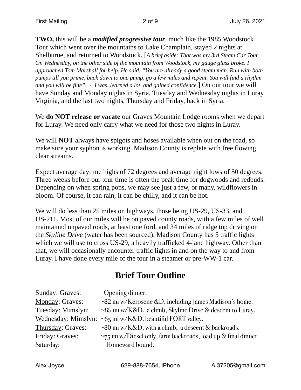**TWO,** this will be a *modified progressive tour*, much like the 1985 Woodstock Tour which went over the mountains to Lake Champlain, stayed 2 nights at Shelburne, and returned to Woodstock. [*A brief aside: That was my 3rd Steam Car Tour. On Wednesday, on the other side of the mountain from Woodstock, my gauge glass broke. I approached Tom Marshall for help. He said, "You are already a good steam man. Run with both pumps till you prime, back down to one pump, go a few miles and repeat. You will find a rhythm and you will be fine". - I was, learned a lot, and gained confidence.*] On our tour we will have Sunday and Monday nights in Syria, Tuesday and Wednesday nights in Luray Virginia, and the last two nights, Thursday and Friday, back in Syria.

We **do NOT release or vacate** our Graves Mountain Lodge rooms when we depart for Luray. We need only carry what we need for those two nights in Luray.

We will **NOT** always have spigots and hoses available when out on the road, so make sure your syphon is working. Madison County is replete with free flowing clear streams.

Expect average daytime highs of 72 degrees and average night lows of 50 degrees. Three weeks before our tour time is often the peak time for dogwoods and redbuds. Depending on when spring pops, we may see just a few, or many, wildflowers in bloom. Of course, it can rain, it can be chilly, and it can be hot.

We will do less than 25 miles on highways, those being US-29, US-33, and US-211. Most of our miles will be on paved county roads, with a few miles of well maintained unpaved roads, at least one ford, and 34 miles of ridge top driving on the *Skyline Drive* (water has been sourced). Madison County has 5 traffic lights which we will use to cross US-29, a heavily trafficked 4-lane highway. Other than that, we will occasionally encounter traffic lights in and on the way to and from Luray. I have done every mile of the tour in a steamer or pre-WW-1 car.

## **Brief Tour Outline**

| <b>Sunday: Graves:</b> | Opening dinner.                                                     |
|------------------------|---------------------------------------------------------------------|
| Monday: Graves:        | $\sim$ 82 mi w/Kerosene &D, including James Madison's home.         |
| Tuesday: Mimslyn:      | ~85 mi w/K&D, a climb, Skyline Drive & descent to Luray.            |
| Wednesday: Mimslyn:    | $\sim$ 65 mi w/K&D, beautiful FORT valley.                          |
| Thursday: Graves:      | $\sim$ 80 mi w/K&D, with a climb, a descent & backroads.            |
| Friday: Graves:        | $\sim$ 75 mi w/Diesel only, farm backroads, load up & final dinner. |
| Saturday:              | Homeward bound.                                                     |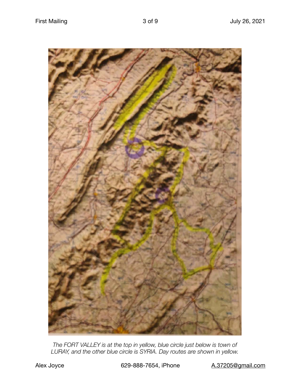

*The FORT VALLEY is at the top in yellow, blue circle just below is town of LURAY, and the other blue circle is SYRIA. Day routes are shown in yellow.*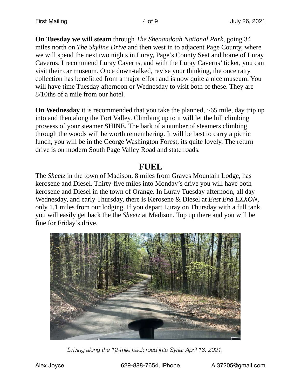**On Tuesday we will steam** through *The Shenandoah National Park*, going 34 miles north on *The Skyline Drive* and then west in to adjacent Page County, where we will spend the next two nights in Luray, Page's County Seat and home of Luray Caverns. I recommend Luray Caverns, and with the Luray Caverns' ticket, you can visit their car museum. Once down-talked, revise your thinking, the once ratty collection has benefitted from a major effort and is now quite a nice museum. You will have time Tuesday afternoon or Wednesday to visit both of these. They are 8/10ths of a mile from our hotel.

**On Wednesday** it is recommended that you take the planned,  $\sim 65$  mile, day trip up into and then along the Fort Valley. Climbing up to it will let the hill climbing prowess of your steamer SHINE. The bark of a number of steamers climbing through the woods will be worth remembering. It will be best to carry a picnic lunch, you will be in the George Washington Forest, its quite lovely. The return drive is on modern South Page Valley Road and state roads.

### **FUEL**

The *Sheetz* in the town of Madison, 8 miles from Graves Mountain Lodge, has kerosene and Diesel. Thirty-five miles into Monday's drive you will have both kerosene and Diesel in the town of Orange. In Luray Tuesday afternoon, all day Wednesday, and early Thursday, there is Kerosene & Diesel at *East End EXXON*, only 1.1 miles from our lodging. If you depart Luray on Thursday with a full tank you will easily get back the the *Sheetz* at Madison. Top up there and you will be fine for Friday's drive.



*Driving along the 12-mile back road into Syria: April 13, 2021.*

Alex Joyce 629-888-7654, iPhone [A.37205@gmail.com](mailto:A.37205@gmail.com)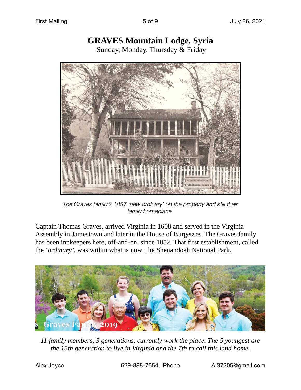## **GRAVES Mountain Lodge, Syria**

Sunday, Monday, Thursday & Friday



*The Graves family's 1857 'new ordinary' on the property and still their family homeplace.*

Captain Thomas Graves, arrived Virginia in 1608 and served in the Virginia Assembly in Jamestown and later in the House of Burgesses. The Graves family has been innkeepers here, off-and-on, since 1852. That first establishment, called the '*ordinary'*, was within what is now The Shenandoah National Park.



*11 family members, 3 generations, currently work the place. The 5 youngest are the 15th generation to live in Virginia and the 7th to call this land home.*

Alex Joyce 629-888-7654, iPhone [A.37205@gmail.com](mailto:A.37205@gmail.com)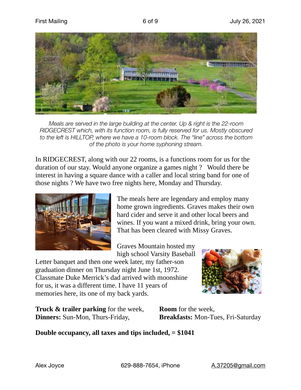

*Meals are served in the large building at the center. Up & right is the 22-room RIDGECREST which, with its function room, is fully reserved for us. Mostly obscured to the left is HILLTOP, where we have a 10-room block. The "line" across the bottom of the photo is your home syphoning stream.*

In RIDGECREST, along with our 22 rooms, is a functions room for us for the duration of our stay. Would anyone organize a games night ? Would there be interest in having a square dance with a caller and local string band for one of those nights ? We have two free nights here, Monday and Thursday.



The meals here are legendary and employ many home grown ingredients. Graves makes their own hard cider and serve it and other local beers and wines. If you want a mixed drink, bring your own. That has been cleared with Missy Graves.

Graves Mountain hosted my high school Varsity Baseball

Letter banquet and then one week later, my father-son graduation dinner on Thursday night June 1st, 1972. Classmate Duke Merrick's dad arrived with moonshine for us, it was a different time. I have 11 years of memories here, its one of my back yards.



**Truck & trailer parking** for the week, **Room** for the week, **Dinners:** Sun-Mon, Thurs-Friday, **Breakfasts:** Mon-Tues, Fri-Saturday

#### **Double occupancy, all taxes and tips included, = \$1041**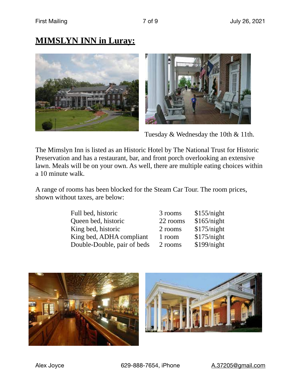

Tuesday & Wednesday the 10th & 11th.

The Mimslyn Inn is listed as an Historic Hotel by The National Trust for Historic Preservation and has a restaurant, bar, and front porch overlooking an extensive lawn. Meals will be on your own. As well, there are multiple eating choices within a 10 minute walk.

A range of rooms has been blocked for the Steam Car Tour. The room prices, shown without taxes, are below:

| Full bed, historic          | 3 rooms  | \$155/night |
|-----------------------------|----------|-------------|
| Queen bed, historic         | 22 rooms | \$165/night |
| King bed, historic          | 2 rooms  | \$175/night |
| King bed, ADHA compliant    | 1 room   | \$175/night |
| Double-Double, pair of beds | 2 rooms  | \$199/night |



# **MIMSLYN INN in Luray:**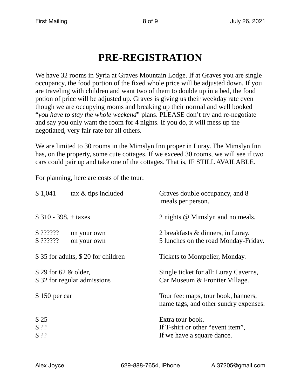# **PRE-REGISTRATION**

We have 32 rooms in Syria at Graves Mountain Lodge. If at Graves you are single occupancy, the food portion of the fixed whole price will be adjusted down. If you are traveling with children and want two of them to double up in a bed, the food potion of price will be adjusted up. Graves is giving us their weekday rate even though we are occupying rooms and breaking up their normal and well booked "*you have to stay the whole weekend*" plans. PLEASE don't try and re-negotiate and say you only want the room for 4 nights. If you do, it will mess up the negotiated, very fair rate for all others.

We are limited to 30 rooms in the Mimslyn Inn proper in Luray. The Mimslyn Inn has, on the property, some cute cottages. If we exceed 30 rooms, we will see if two cars could pair up and take one of the cottages. That is, IF STILL AVAILABLE.

For planning, here are costs of the tour:

| \$1,041                      | tax & tips included                | Graves double occupancy, and 8<br>meals per person.                          |
|------------------------------|------------------------------------|------------------------------------------------------------------------------|
| $$310 - 398, + \text{taxes}$ |                                    | 2 nights @ Mimslyn and no meals.                                             |
| \$ ?? ? ? ??<br>\$ ?? ? ? ?? | on your own<br>on your own         | 2 breakfasts & dinners, in Luray.<br>5 lunches on the road Monday-Friday.    |
|                              | \$35 for adults, \$20 for children | Tickets to Montpelier, Monday.                                               |
| \$29 for 62 & older,         | \$32 for regular admissions        | Single ticket for all: Luray Caverns,<br>Car Museum & Frontier Village.      |
| $$150$ per car               |                                    | Tour fee: maps, tour book, banners,<br>name tags, and other sundry expenses. |
| \$25<br>\$??                 |                                    | Extra tour book.<br>If T-shirt or other "event item",                        |
| \$??                         |                                    | If we have a square dance.                                                   |